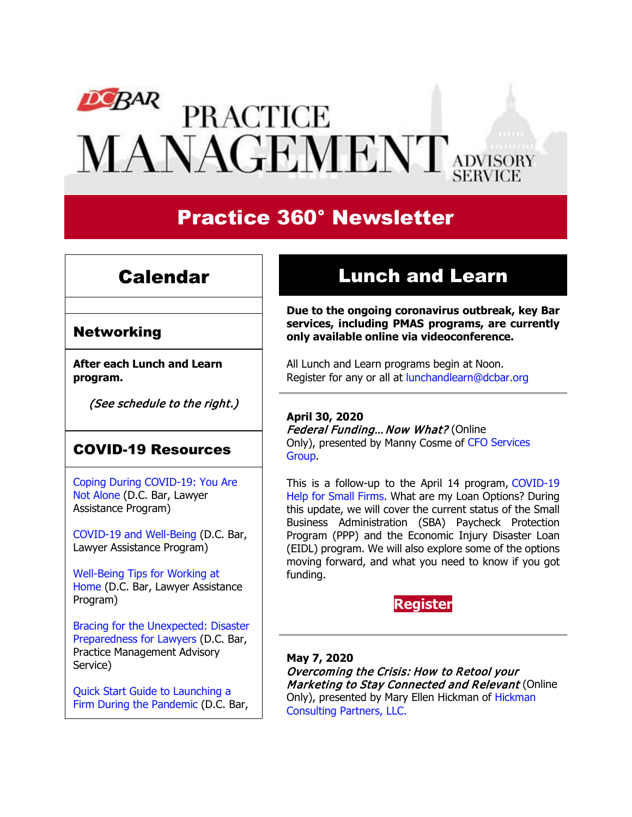# $DCBAR$ **PRACTICE** MANAGEMENT ADVISORY

# Practice 360° Newsletter

### Calendar

#### **Networking**

**After each Lunch and Learn program.**

(See schedule to the right.)

### COVID-19 Resources

[Coping During COVID-19: You Are](https://www.dcbar.org/about-the-bar/news/coping-during-covid-19-you-are-not-alone.cfm?utm_source=Real%20Magnet&utm_medium=INSERT_CHANNEL&utm_campaign=INSERT_LINK_ID)  [Not Alone](https://www.dcbar.org/about-the-bar/news/coping-during-covid-19-you-are-not-alone.cfm?utm_source=Real%20Magnet&utm_medium=INSERT_CHANNEL&utm_campaign=INSERT_LINK_ID) (D.C. Bar, Lawyer Assistance Program)

[COVID-19 and Well-Being](https://www.dcbar.org/bar-resources/lawyer-assistance-program/upload/COVID-19-and-Well-Being-Resources.pdf?utm_source=Real%20Magnet&utm_medium=INSERT_CHANNEL&utm_campaign=INSERT_LINK_ID) (D.C. Bar, Lawyer Assistance Program)

[Well-Being Tips for Working at](https://www.dcbar.org/bar-resources/lawyer-assistance-program/upload/WellnessTips-Working-from-home.pdf?utm_source=Real%20Magnet&utm_medium=INSERT_CHANNEL&utm_campaign=INSERT_LINK_ID)  [Home](https://www.dcbar.org/bar-resources/lawyer-assistance-program/upload/WellnessTips-Working-from-home.pdf?utm_source=Real%20Magnet&utm_medium=INSERT_CHANNEL&utm_campaign=INSERT_LINK_ID) (D.C. Bar, Lawyer Assistance Program)

[Bracing for the Unexpected: Disaster](https://www.dcbar.org/about-the-bar/news/disaster-preparedness-for-lawyers.cfm?utm_source=Real%20Magnet&utm_medium=INSERT_CHANNEL&utm_campaign=INSERT_LINK_ID)  [Preparedness for Lawyers](https://www.dcbar.org/about-the-bar/news/disaster-preparedness-for-lawyers.cfm?utm_source=Real%20Magnet&utm_medium=INSERT_CHANNEL&utm_campaign=INSERT_LINK_ID) (D.C. Bar, Practice Management Advisory Service)

[Quick Start Guide to Launching a](https://www.dcbar.org/bar-resources/practice-management-advisory-service/basic-training-supplement.cfm?utm_source=Real%20Magnet&utm_medium=INSERT_CHANNEL&utm_campaign=INSERT_LINK_ID)  [Firm During the Pandemic](https://www.dcbar.org/bar-resources/practice-management-advisory-service/basic-training-supplement.cfm?utm_source=Real%20Magnet&utm_medium=INSERT_CHANNEL&utm_campaign=INSERT_LINK_ID) (D.C. Bar,

# Lunch and Learn

**Due to the ongoing coronavirus outbreak, key Bar services, including PMAS programs, are currently only available online via videoconference.**

All Lunch and Learn programs begin at Noon. Register for any or all at [lunchandlearn@dcbar.org](mailto:lunchandlearn@dcbar.org?subject=Lunch%20and%20Learn)

#### **April 30, 2020**

Federal Funding... Now What? (Online Only), presented by Manny Cosme of [CFO Services](https://www.cfoservicesgroup.com/)  [Group.](https://www.cfoservicesgroup.com/)

This is a follow-up to the April 14 program, [COVID-19](https://www.dcbar.org/bar-resources/practice-management-advisory-service/lunch-series-past.cfm?utm_source=Real%20Magnet&utm_medium=INSERT_CHANNEL&utm_campaign=INSERT_LINK_ID)  [Help for Small Firms.](https://www.dcbar.org/bar-resources/practice-management-advisory-service/lunch-series-past.cfm?utm_source=Real%20Magnet&utm_medium=INSERT_CHANNEL&utm_campaign=INSERT_LINK_ID) What are my Loan Options? During this update, we will cover the current status of the Small Business Administration (SBA) Paycheck Protection Program (PPP) and the Economic Injury Disaster Loan (EIDL) program. We will also explore some of the options moving forward, and what you need to know if you got funding.

### **[Register](https://join.dcbar.org/eWeb/DynamicPage.aspx?site=dcbar&webcode=EventInfo&Reg_evt_key=d7359698-4d36-4661-8eda-b46fc5afe167&RegPath=EventRegFees&FreeEvent=&Event=Lunch%20and%20Learn:%20Federal%20Funding%E2%80%A6Now%20What?%20(Online%20Only)&FundraisingEvent=&evt_guest_limit=9999&utm_source=Real%20Magnet&utm_medium=INSERT_CHANNEL&utm_campaign=INSERT_LINK_ID)**

**May 7, 2020** Overcoming the Crisis: How to Retool your Marketing to Stay Connected and Relevant (Online Only), presented by Mary Ellen Hickman of [Hickman](http://www.hickmanconsultingpartners.com/)  [Consulting Partners, LLC.](http://www.hickmanconsultingpartners.com/)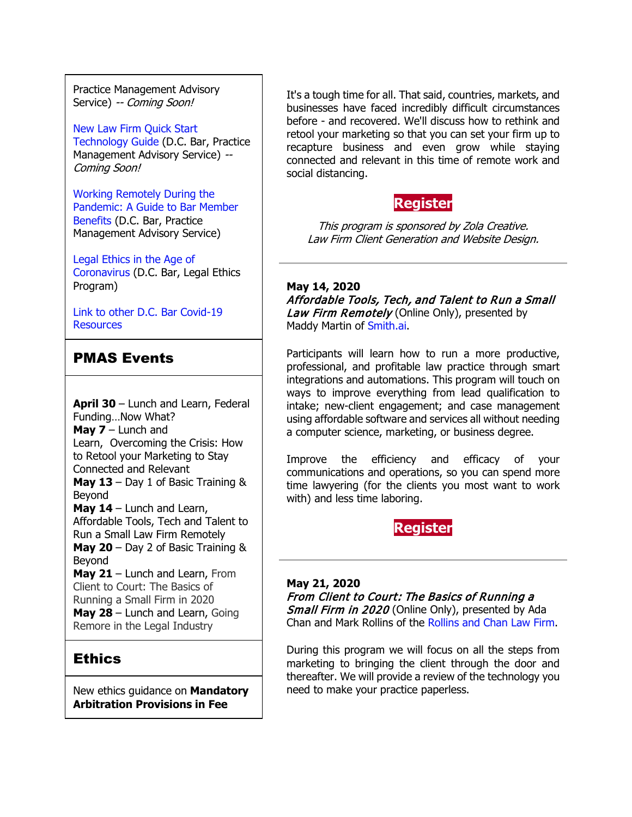Practice Management Advisory Service) -- Coming Soon!

[New Law Firm Quick Start](https://www.dcbar.org/bar-resources/practice-management-advisory-service/basic-training-supplement.cfm?utm_source=Real%20Magnet&utm_medium=INSERT_CHANNEL&utm_campaign=INSERT_LINK_ID)  [Technology Guide](https://www.dcbar.org/bar-resources/practice-management-advisory-service/basic-training-supplement.cfm?utm_source=Real%20Magnet&utm_medium=INSERT_CHANNEL&utm_campaign=INSERT_LINK_ID) (D.C. Bar, Practice Management Advisory Service) --Coming Soon!

[Working Remotely During the](https://www.dcbar.org/about-the-bar/news/working-remotely-during-the-pandemic.cfm?utm_source=Real%20Magnet&utm_medium=INSERT_CHANNEL&utm_campaign=INSERT_LINK_ID)  [Pandemic: A Guide to Bar Member](https://www.dcbar.org/about-the-bar/news/working-remotely-during-the-pandemic.cfm?utm_source=Real%20Magnet&utm_medium=INSERT_CHANNEL&utm_campaign=INSERT_LINK_ID)  [Benefits](https://www.dcbar.org/about-the-bar/news/working-remotely-during-the-pandemic.cfm?utm_source=Real%20Magnet&utm_medium=INSERT_CHANNEL&utm_campaign=INSERT_LINK_ID) (D.C. Bar, Practice Management Advisory Service)

[Legal Ethics in the Age of](https://www.dcbar.org/about-the-bar/news/Legal-Ethics-in-the-Age-of-the-Coronavirus.cfm?utm_source=Real%20Magnet&utm_medium=INSERT_CHANNEL&utm_campaign=INSERT_LINK_ID)  [Coronavirus](https://www.dcbar.org/about-the-bar/news/Legal-Ethics-in-the-Age-of-the-Coronavirus.cfm?utm_source=Real%20Magnet&utm_medium=INSERT_CHANNEL&utm_campaign=INSERT_LINK_ID) (D.C. Bar, Legal Ethics Program)

[Link to other D.C. Bar Covid-19](https://www.dcbar.org/bar-resources/COVID-19-Resources.cfm?utm_source=Real%20Magnet&utm_medium=INSERT_CHANNEL&utm_campaign=INSERT_LINK_ID)  **[Resources](https://www.dcbar.org/bar-resources/COVID-19-Resources.cfm?utm_source=Real%20Magnet&utm_medium=INSERT_CHANNEL&utm_campaign=INSERT_LINK_ID)** 

#### PMAS Events

**April 30** – Lunch and Learn, Federal Funding…Now What? **May 7** – Lunch and Learn, Overcoming the Crisis: How to Retool your Marketing to Stay Connected and Relevant **May 13** – Day 1 of Basic Training & Beyond **May 14** – Lunch and Learn, Affordable Tools, Tech and Talent to Run a Small Law Firm Remotely **May 20** – Day 2 of Basic Training & Beyond **May 21** – Lunch and Learn, From Client to Court: The Basics of Running a Small Firm in 2020 **May 28** – Lunch and Learn, Going Remore in the Legal Industry

### **Ethics**

New ethics guidance on **Mandatory Arbitration Provisions in Fee** 

It's a tough time for all. That said, countries, markets, and businesses have faced incredibly difficult circumstances before - and recovered. We'll discuss how to rethink and retool your marketing so that you can set your firm up to recapture business and even grow while staying connected and relevant in this time of remote work and social distancing.

### **[Register](https://join.dcbar.org/eWeb/DynamicPage.aspx?site=dcbar&webcode=EventInfo&Reg_evt_key=e633294d-bf44-4124-94b5-83b41159679a&RegPath=EventRegFees&FreeEvent=&Event=Lunch%20and%20Learn:%20Overcoming%20the%20Crisis:%20How%20to%20Retool%20your%20Marketing%20to%20Stay%20Connected%20and%20Relevant%20(Online%20Only)&FundraisingEvent=&evt_guest_limit=9999&utm_source=Real%20Magnet&utm_medium=INSERT_CHANNEL&utm_campaign=INSERT_LINK_ID)**

This program is sponsored by Zola Creative. Law Firm Client Generation and Website Design.

**May 14, 2020** Affordable Tools, Tech, and Talent to Run a Small Law Firm Remotely (Online Only), presented by Maddy Martin of [Smith.ai.](https://smith.ai/)

Participants will learn how to run a more productive, professional, and profitable law practice through smart integrations and automations. This program will touch on ways to improve everything from lead qualification to intake; new-client engagement; and case management using affordable software and services all without needing a computer science, marketing, or business degree.

Improve the efficiency and efficacy of your communications and operations, so you can spend more time lawyering (for the clients you most want to work with) and less time laboring.



#### **May 21, 2020** From Client to Court: The Basics of Running a Small Firm in 2020 (Online Only), presented by Ada Chan and Mark Rollins of the [Rollins and Chan Law Firm.](http://www.rollinsandchan.com/)

During this program we will focus on all the steps from marketing to bringing the client through the door and thereafter. We will provide a review of the technology you need to make your practice paperless.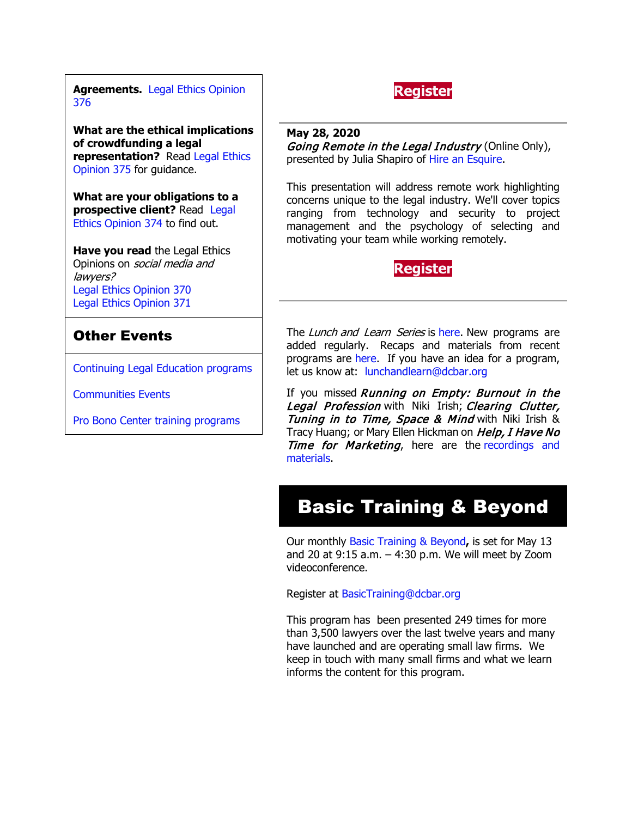**Agreements.** [Legal Ethics Opinion](https://www.dcbar.org/bar-resources/legal-ethics/opinions/Ethics-Opinion-376.cfm?utm_source=Real%20Magnet&utm_medium=INSERT_CHANNEL&utm_campaign=INSERT_LINK_ID)  [376](https://www.dcbar.org/bar-resources/legal-ethics/opinions/Ethics-Opinion-376.cfm?utm_source=Real%20Magnet&utm_medium=INSERT_CHANNEL&utm_campaign=INSERT_LINK_ID)

**What are the ethical implications of crowdfunding a legal representation?** Read [Legal Ethics](http://www.dcbar.org/bar-resources/legal-ethics/opinions/Ethics-Opinion-375.cfm?utm_source=Real%20Magnet&utm_medium=INSERT_CHANNEL&utm_campaign=INSERT_LINK_ID)  [Opinion 375](http://www.dcbar.org/bar-resources/legal-ethics/opinions/Ethics-Opinion-375.cfm?utm_source=Real%20Magnet&utm_medium=INSERT_CHANNEL&utm_campaign=INSERT_LINK_ID) for guidance.

**What are your obligations to a prospective client?** Read [Legal](http://www.dcbar.org/bar-resources/legal-ethics/opinions/Ethics-Opinion-374.cfm?utm_source=Real%20Magnet&utm_medium=INSERT_CHANNEL&utm_campaign=INSERT_LINK_ID)  [Ethics Opinion 374](http://www.dcbar.org/bar-resources/legal-ethics/opinions/Ethics-Opinion-374.cfm?utm_source=Real%20Magnet&utm_medium=INSERT_CHANNEL&utm_campaign=INSERT_LINK_ID) to find out.

**Have you read** the Legal Ethics Opinions on social media and lawyers? [Legal Ethics Opinion](http://www.dcbar.org/bar-resources/legal-ethics/opinions/Ethics-Opinion-370.cfm?utm_source=Real%20Magnet&utm_medium=INSERT_CHANNEL&utm_campaign=INSERT_LINK_ID) 370 [Legal Ethics Opinion](http://www.dcbar.org/bar-resources/legal-ethics/opinions/Ethics-Opinion-371.cfm?utm_source=Real%20Magnet&utm_medium=INSERT_CHANNEL&utm_campaign=INSERT_LINK_ID) 371

### Other Events

[Continuing Legal Education programs](https://join.dcbar.org/eweb/DynamicPage.aspx?Site=DCBar&WebKey=cbe606bc-88d4-4d37-872c-f48d412a59e5&evt_etc_key=7aaf572d-f662-422f-9fe7-0ae3f4b705be&utm_source=Real%20Magnet&utm_medium=INSERT_CHANNEL&utm_campaign=INSERT_LINK_ID)

[Communities Events](https://join.dcbar.org/eweb/DynamicPage.aspx?site=dcbar&webcode=EventList&utm_source=Real%20Magnet&utm_medium=INSERT_CHANNEL&utm_campaign=INSERT_LINK_ID)

[Pro Bono Center training programs](http://www.dcbar.org/pro-bono/resources-and-training/pro-bono-training.cfm?utm_source=Real%20Magnet&utm_medium=INSERT_CHANNEL&utm_campaign=INSERT_LINK_ID)

### **[Register](https://join.dcbar.org/eWeb/DynamicPage.aspx?site=dcbar&webcode=EventInfo&Reg_evt_key=d567298e-85bd-428d-96e0-1e5473edf522&RegPath=EventRegFees&FreeEvent=&Event=Lunch%20and%20Learn:%20From%20Client%20to%20Court:%20The%20Basics%20of%20Running%20a%20Small%20Firm%20in%202020%20(Online%20Only)&FundraisingEvent=&evt_guest_limit=9999&utm_source=Real%20Magnet&utm_medium=INSERT_CHANNEL&utm_campaign=INSERT_LINK_ID)**

**May 28, 2020** Going Remote in the Legal Industry (Online Only), presented by Julia Shapiro of [Hire an Esquire.](http://hireanesquire.com/)

This presentation will address remote work highlighting concerns unique to the legal industry. We'll cover topics ranging from technology and security to project management and the psychology of selecting and motivating your team while working remotely.

### **[Register](https://join.dcbar.org/eWeb/DynamicPage.aspx?site=dcbar&webcode=EventInfo&Reg_evt_key=b0e43332-ba2f-47e1-afb6-97458b0785cb&RegPath=EventRegFees&FreeEvent=&Event=Lunch%20and%20Learn:%20Going%20Remote%20in%20the%20Legal%20Industry%20(Online%20Only)&FundraisingEvent=&evt_guest_limit=9999&utm_source=Real%20Magnet&utm_medium=INSERT_CHANNEL&utm_campaign=INSERT_LINK_ID)**

The *Lunch and Learn Series* is [here.](http://www.mmsend31.com/link.cfm?r=zvkjaWqFFUTRz65Avl-Ftw%7E%7E&pe=uj3OQce67sAzal0I0cWC7TjhNwePVYVKzJMg2Js6AIsGNMVqBKo6FlxU1r4B9xoXUOyVF9B6Sl75zAYfEz30Xg%7E%7E&t=9q0Bx7QlIBCo1RGNX5Mg8A%7E%7E) New programs are added regularly. Recaps and materials from recent programs are [here.](https://www.dcbar.org/bar-resources/practice-management-advisory-service/lunch-series-past.cfm?utm_source=Real%20Magnet&utm_medium=INSERT_CHANNEL&utm_campaign=INSERT_LINK_ID) If you have an idea for a program, let us know at: [lunchandlearn@dcbar.org](mailto:lunchandlearn@dcbar.org)

If you missed Running on Empty: Burnout in the Legal Profession with Niki Irish; Clearing Clutter, Tuning in to Time, Space & Mind with Niki Irish & Tracy Huang; or Mary Ellen Hickman on Help, I Have No Time for Marketing, here are the recordings and [materials.](http://www.mmsend31.com/link.cfm?r=zvkjaWqFFUTRz65Avl-Ftw%7E%7E&pe=4mmxqJOvTKC2xyXj-atTVcA70zCTGMMU-jeeiyE3_LcUP1jcscAFhZabfUl8Xy4IIeUfSvOSbZDXV2AP0w6XEA%7E%7E&t=9q0Bx7QlIBCo1RGNX5Mg8A%7E%7E)

# Basic Training & Beyond

Our monthly [Basic Training & Beyond](http://www.dcbar.org/bar-resources/practice-management-advisory-service/basic-training.cfm?utm_source=Real%20Magnet&utm_medium=INSERT_CHANNEL&utm_campaign=INSERT_LINK_ID)**,** is set for May 13 and 20 at  $9:15$  a.m.  $-4:30$  p.m. We will meet by Zoom videoconference.

Register at [BasicTraining@dcbar.org](mailto:BasicTraining@dcbar.org?subject=Basic%20Training%20%26%20Beyond) 

This program has been presented 249 times for more than 3,500 lawyers over the last twelve years and many have launched and are operating small law firms. We keep in touch with many small firms and what we learn informs the content for this program.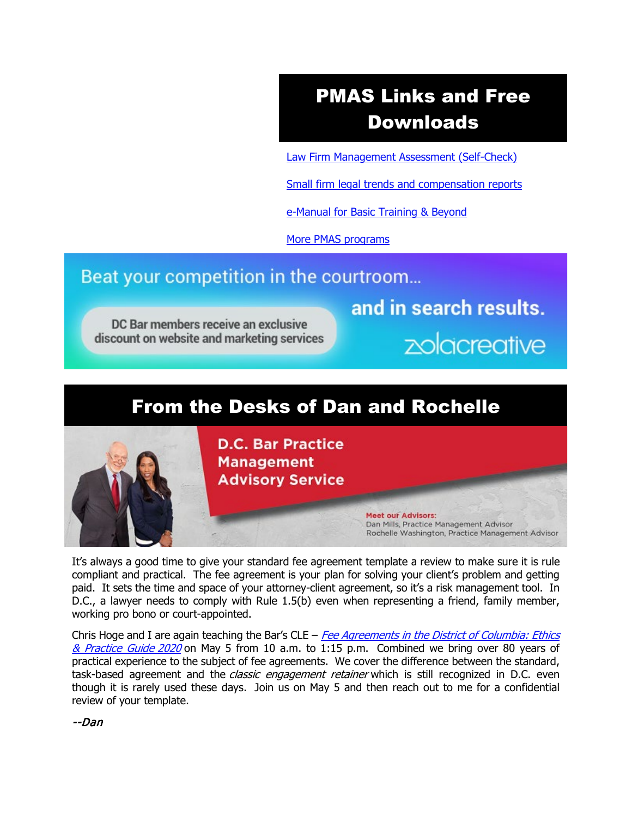# PMAS Links and Free Downloads

[Law Firm Management Assessment \(Self-Check\)](https://www.dcbar.org/bar-resources/practice-management-advisory-service/selfcheck.cfm?utm_source=Real%20Magnet&utm_medium=INSERT_CHANNEL&utm_campaign=INSERT_LINK_ID)

[Small firm legal trends and compensation reports](http://www.dcbar.org/bar-resources/practice-management-advisory-service/basic-training-supplement.cfm?utm_source=Real%20Magnet&utm_medium=INSERT_CHANNEL&utm_campaign=INSERT_LINK_ID)

[e-Manual for Basic Training & Beyond](http://www.dcbar.org/bar-resources/practice-management-advisory-service/upload/eManual-050316.pdf?utm_source=Real%20Magnet&utm_medium=INSERT_CHANNEL&utm_campaign=INSERT_LINK_ID)

[More PMAS programs](http://www.dcbar.org/bar-resources/practice-management-advisory-service/?utm_source=Real%20Magnet&utm_medium=INSERT_CHANNEL&utm_campaign=INSERT_LINK_ID)

### Beat your competition in the courtroom...

DC Bar members receive an exclusive discount on website and marketing services and in search results.

zolacreative

### From the Desks of Dan and Rochelle



It's always a good time to give your standard fee agreement template a review to make sure it is rule compliant and practical. The fee agreement is your plan for solving your client's problem and getting paid. It sets the time and space of your attorney-client agreement, so it's a risk management tool. In D.C., a lawyer needs to comply with Rule 1.5(b) even when representing a friend, family member, working pro bono or court-appointed.

Chris Hoge and I are again teaching the Bar's CLE  $-$  Fee Agreements in the District of Columbia: Ethics [& Practice Guide](https://join.dcbar.org/eweb/DynamicPage.aspx?site=dcbar&webcode=EventInfo&Reg_evt_key=41131c35-10ec-4723-a02a-8c7125f12be3&RegPath=EventRegFees&FreeEvent=&Event=Fee%20Agreements%20in%20the%20District%20of%20Columbia:%20Ethics%20and%20Practice%20Guide%202020%20*Class%20by%20Webinar*&FundraisingEvent=&evt_guest_limit=9999&utm_source=Real%20Magnet&utm_medium=INSERT_CHANNEL&utm_campaign=INSERT_LINK_ID) 2020 on May 5 from 10 a.m. to 1:15 p.m. Combined we bring over 80 years of practical experience to the subject of fee agreements. We cover the difference between the standard, task-based agreement and the *classic engagement retainer* which is still recognized in D.C. even though it is rarely used these days. Join us on May 5 and then reach out to me for a confidential review of your template.

--Dan